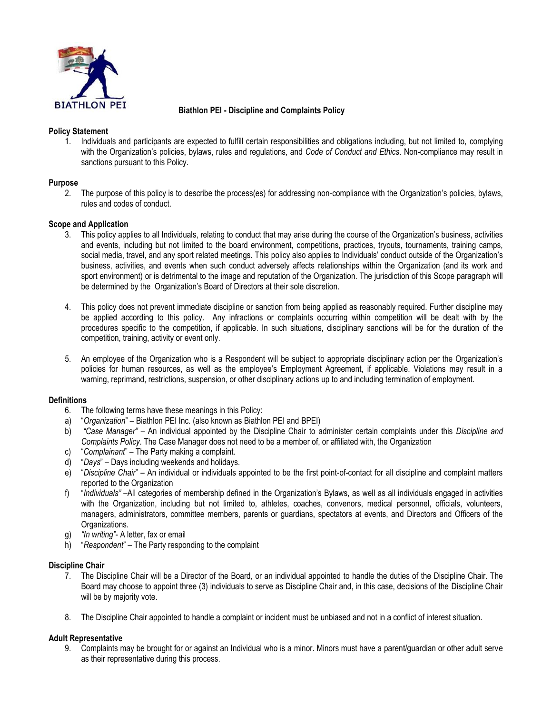

### **Biathlon PEI - Discipline and Complaints Policy**

### **Policy Statement**

1. Individuals and participants are expected to fulfill certain responsibilities and obligations including, but not limited to, complying with the Organization's policies, bylaws, rules and regulations, and *Code of Conduct and Ethics*. Non-compliance may result in sanctions pursuant to this Policy.

### **Purpose**

2. The purpose of this policy is to describe the process(es) for addressing non-compliance with the Organization's policies, bylaws, rules and codes of conduct.

# **Scope and Application**

- 3. This policy applies to all Individuals, relating to conduct that may arise during the course of the Organization's business, activities and events, including but not limited to the board environment, competitions, practices, tryouts, tournaments, training camps, social media, travel, and any sport related meetings. This policy also applies to Individuals' conduct outside of the Organization's business, activities, and events when such conduct adversely affects relationships within the Organization (and its work and sport environment) or is detrimental to the image and reputation of the Organization. The jurisdiction of this Scope paragraph will be determined by the Organization's Board of Directors at their sole discretion.
- 4. This policy does not prevent immediate discipline or sanction from being applied as reasonably required. Further discipline may be applied according to this policy. Any infractions or complaints occurring within competition will be dealt with by the procedures specific to the competition, if applicable. In such situations, disciplinary sanctions will be for the duration of the competition, training, activity or event only.
- 5. An employee of the Organization who is a Respondent will be subject to appropriate disciplinary action per the Organization's policies for human resources, as well as the employee's Employment Agreement, if applicable. Violations may result in a warning, reprimand, restrictions, suspension, or other disciplinary actions up to and including termination of employment.

#### **Definitions**

- 6. The following terms have these meanings in this Policy:
- a) "*Organization*" Biathlon PEI Inc. (also known as Biathlon PEI and BPEI)
- b) *"Case Manager"* An individual appointed by the Discipline Chair to administer certain complaints under this *Discipline and Complaints Policy*. The Case Manager does not need to be a member of, or affiliated with, the Organization
- c) "*Complainant*" The Party making a complaint.
- d) "*Days*" Days including weekends and holidays.
- e) "*Discipline Chair*" An individual or individuals appointed to be the first point-of-contact for all discipline and complaint matters reported to the Organization
- f) "*Individuals"* –All categories of membership defined in the Organization's Bylaws, as well as all individuals engaged in activities with the Organization, including but not limited to, athletes, coaches, convenors, medical personnel, officials, volunteers, managers, administrators, committee members, parents or guardians, spectators at events, and Directors and Officers of the Organizations.
- g) *"In writing"* A letter, fax or email
- h) "*Respondent*" The Party responding to the complaint

#### **Discipline Chair**

- 7. The Discipline Chair will be a Director of the Board, or an individual appointed to handle the duties of the Discipline Chair. The Board may choose to appoint three (3) individuals to serve as Discipline Chair and, in this case, decisions of the Discipline Chair will be by majority vote.
- 8. The Discipline Chair appointed to handle a complaint or incident must be unbiased and not in a conflict of interest situation.

# **Adult Representative**

9. Complaints may be brought for or against an Individual who is a minor. Minors must have a parent/guardian or other adult serve as their representative during this process.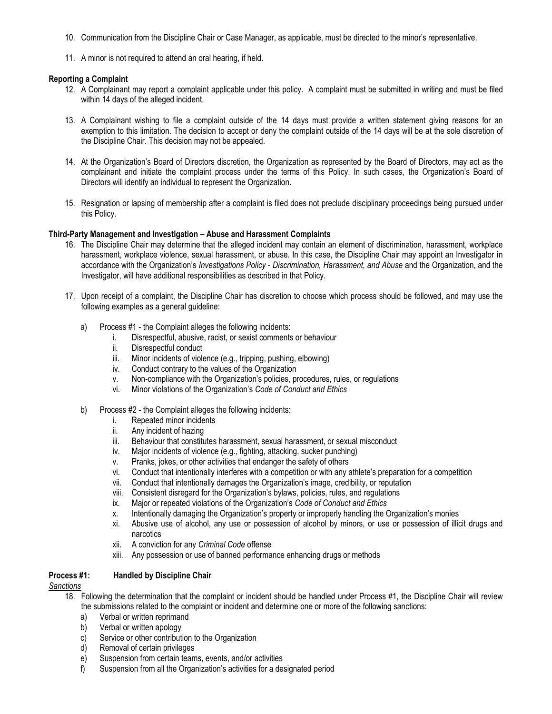- 10. Communication from the Discipline Chair or Case Manager, as applicable, must be directed to the minor's representative.
- 11. A minor is not required to attend an oral hearing, if held.

#### **Reporting a Complaint**

- 12. A Complainant may report a complaint applicable under this policy. A complaint must be submitted in writing and must be filed within 14 days of the alleged incident.
- 13. A Complainant wishing to file a complaint outside of the 14 days must provide a written statement giving reasons for an exemption to this limitation. The decision to accept or deny the complaint outside of the 14 days will be at the sole discretion of the Discipline Chair. This decision may not be appealed.
- 14. At the Organization's Board of Directors discretion, the Organization as represented by the Board of Directors, may act as the complainant and initiate the complaint process under the terms of this Policy. In such cases, the Organization's Board of Directors will identify an individual to represent the Organization.
- 15. Resignation or lapsing of membership after a complaint is filed does not preclude disciplinary proceedings being pursued under this Policy.

### **Third-Party Management and Investigation – Abuse and Harassment Complaints**

- 16. The Discipline Chair may determine that the alleged incident may contain an element of discrimination, harassment, workplace harassment, workplace violence, sexual harassment, or abuse. In this case, the Discipline Chair may appoint an Investigator in accordance with the Organization's *Investigations Policy* - *Discrimination, Harassment, and Abuse* and the Organization, and the Investigator, will have additional responsibilities as described in that Policy.
- 17. Upon receipt of a complaint, the Discipline Chair has discretion to choose which process should be followed, and may use the following examples as a general guideline:
	- a) Process #1 the Complaint alleges the following incidents:
		- i. Disrespectful, abusive, racist, or sexist comments or behaviour
		- ii. Disrespectful conduct<br>iii. Minor incidents of viole
		- Minor incidents of violence (e.g., tripping, pushing, elbowing)
		- iv. Conduct contrary to the values of the Organization
		- v. Non-compliance with the Organization's policies, procedures, rules, or regulations
		- vi. Minor violations of the Organization's *Code of Conduct and Ethics*
	- b) Process #2 the Complaint alleges the following incidents:
		- i. Repeated minor incidents
		- ii. Any incident of hazing
		- iii. Behaviour that constitutes harassment, sexual harassment, or sexual misconduct
		- iv. Major incidents of violence (e.g., fighting, attacking, sucker punching)
		- v. Pranks, jokes, or other activities that endanger the safety of others
		- vi. Conduct that intentionally interferes with a competition or with any athlete's preparation for a competition
		- vii. Conduct that intentionally damages the Organization's image, credibility, or reputation
		- viii. Consistent disregard for the Organization's bylaws, policies, rules, and regulations
		- ix. Major or repeated violations of the Organization's *Code of Conduct and Ethics*
		- x. Intentionally damaging the Organization's property or improperly handling the Organization's monies
		- xi. Abusive use of alcohol, any use or possession of alcohol by minors, or use or possession of illicit drugs and narcotics
		- xii. A conviction for any *Criminal Code* offense
		- xiii. Any possession or use of banned performance enhancing drugs or methods

# **Process #1: Handled by Discipline Chair**

#### *Sanctions*

- 18. Following the determination that the complaint or incident should be handled under Process #1, the Discipline Chair will review the submissions related to the complaint or incident and determine one or more of the following sanctions:
	- a) Verbal or written reprimand
	- b) Verbal or written apology
	- c) Service or other contribution to the Organization
	- d) Removal of certain privileges
	- e) Suspension from certain teams, events, and/or activities
	- f) Suspension from all the Organization's activities for a designated period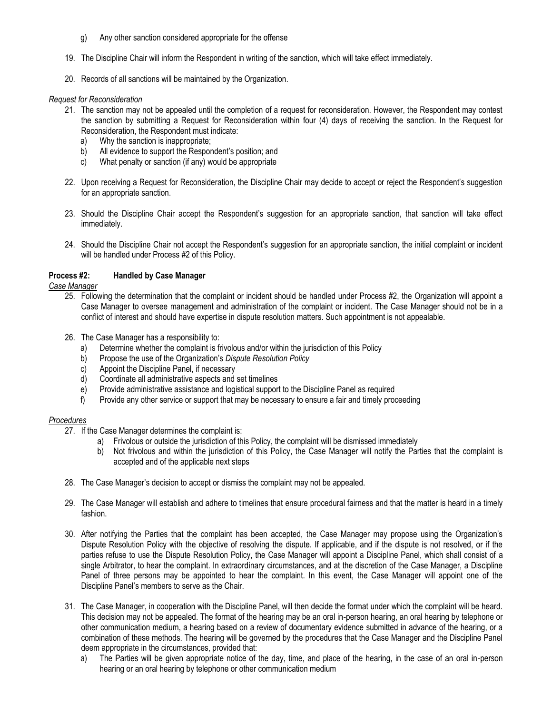- g) Any other sanction considered appropriate for the offense
- 19. The Discipline Chair will inform the Respondent in writing of the sanction, which will take effect immediately.
- 20. Records of all sanctions will be maintained by the Organization.

#### *Request for Reconsideration*

- 21. The sanction may not be appealed until the completion of a request for reconsideration. However, the Respondent may contest the sanction by submitting a Request for Reconsideration within four (4) days of receiving the sanction. In the Request for Reconsideration, the Respondent must indicate:
	- a) Why the sanction is inappropriate;
	- b) All evidence to support the Respondent's position; and
	- c) What penalty or sanction (if any) would be appropriate
- 22. Upon receiving a Request for Reconsideration, the Discipline Chair may decide to accept or reject the Respondent's suggestion for an appropriate sanction.
- 23. Should the Discipline Chair accept the Respondent's suggestion for an appropriate sanction, that sanction will take effect immediately.
- 24. Should the Discipline Chair not accept the Respondent's suggestion for an appropriate sanction, the initial complaint or incident will be handled under Process #2 of this Policy.

### **Process #2: Handled by Case Manager**

*Case Manager*

- 25. Following the determination that the complaint or incident should be handled under Process #2, the Organization will appoint a Case Manager to oversee management and administration of the complaint or incident. The Case Manager should not be in a conflict of interest and should have expertise in dispute resolution matters. Such appointment is not appealable.
- 26. The Case Manager has a responsibility to:
	- a) Determine whether the complaint is frivolous and/or within the jurisdiction of this Policy
	- b) Propose the use of the Organization's *Dispute Resolution Policy*
	- c) Appoint the Discipline Panel, if necessary
	- d) Coordinate all administrative aspects and set timelines
	- e) Provide administrative assistance and logistical support to the Discipline Panel as required
	- f) Provide any other service or support that may be necessary to ensure a fair and timely proceeding

#### *Procedures*

- 27. If the Case Manager determines the complaint is:
	- a) Frivolous or outside the jurisdiction of this Policy, the complaint will be dismissed immediately
	- b) Not frivolous and within the jurisdiction of this Policy, the Case Manager will notify the Parties that the complaint is accepted and of the applicable next steps
- 28. The Case Manager's decision to accept or dismiss the complaint may not be appealed.
- 29. The Case Manager will establish and adhere to timelines that ensure procedural fairness and that the matter is heard in a timely fashion.
- 30. After notifying the Parties that the complaint has been accepted, the Case Manager may propose using the Organization's Dispute Resolution Policy with the objective of resolving the dispute. If applicable, and if the dispute is not resolved, or if the parties refuse to use the Dispute Resolution Policy, the Case Manager will appoint a Discipline Panel, which shall consist of a single Arbitrator, to hear the complaint. In extraordinary circumstances, and at the discretion of the Case Manager, a Discipline Panel of three persons may be appointed to hear the complaint. In this event, the Case Manager will appoint one of the Discipline Panel's members to serve as the Chair.
- 31. The Case Manager, in cooperation with the Discipline Panel, will then decide the format under which the complaint will be heard. This decision may not be appealed. The format of the hearing may be an oral in-person hearing, an oral hearing by telephone or other communication medium, a hearing based on a review of documentary evidence submitted in advance of the hearing, or a combination of these methods. The hearing will be governed by the procedures that the Case Manager and the Discipline Panel deem appropriate in the circumstances, provided that:
	- a) The Parties will be given appropriate notice of the day, time, and place of the hearing, in the case of an oral in-person hearing or an oral hearing by telephone or other communication medium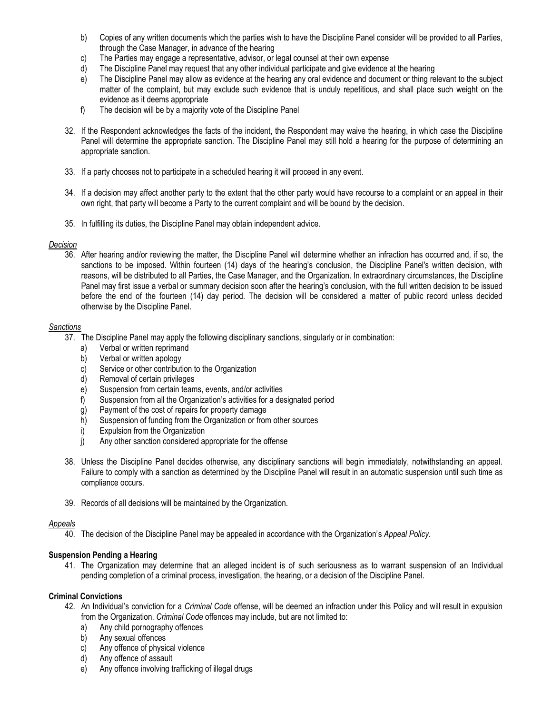- b) Copies of any written documents which the parties wish to have the Discipline Panel consider will be provided to all Parties, through the Case Manager, in advance of the hearing
- c) The Parties may engage a representative, advisor, or legal counsel at their own expense
- d) The Discipline Panel may request that any other individual participate and give evidence at the hearing
- e) The Discipline Panel may allow as evidence at the hearing any oral evidence and document or thing relevant to the subject matter of the complaint, but may exclude such evidence that is unduly repetitious, and shall place such weight on the evidence as it deems appropriate
- f) The decision will be by a majority vote of the Discipline Panel
- 32. If the Respondent acknowledges the facts of the incident, the Respondent may waive the hearing, in which case the Discipline Panel will determine the appropriate sanction. The Discipline Panel may still hold a hearing for the purpose of determining an appropriate sanction.
- 33. If a party chooses not to participate in a scheduled hearing it will proceed in any event.
- 34. If a decision may affect another party to the extent that the other party would have recourse to a complaint or an appeal in their own right, that party will become a Party to the current complaint and will be bound by the decision.
- 35. In fulfilling its duties, the Discipline Panel may obtain independent advice.

# *Decision*

36. After hearing and/or reviewing the matter, the Discipline Panel will determine whether an infraction has occurred and, if so, the sanctions to be imposed. Within fourteen (14) days of the hearing's conclusion, the Discipline Panel's written decision, with reasons, will be distributed to all Parties, the Case Manager, and the Organization. In extraordinary circumstances, the Discipline Panel may first issue a verbal or summary decision soon after the hearing's conclusion, with the full written decision to be issued before the end of the fourteen (14) day period. The decision will be considered a matter of public record unless decided otherwise by the Discipline Panel.

# *Sanctions*

- 37. The Discipline Panel may apply the following disciplinary sanctions, singularly or in combination:
	- a) Verbal or written reprimand
	- b) Verbal or written apology
	- c) Service or other contribution to the Organization
	- d) Removal of certain privileges
	- e) Suspension from certain teams, events, and/or activities
	- f) Suspension from all the Organization's activities for a designated period
	- g) Payment of the cost of repairs for property damage
	- h) Suspension of funding from the Organization or from other sources
	- i) Expulsion from the Organization
	- j) Any other sanction considered appropriate for the offense
- 38. Unless the Discipline Panel decides otherwise, any disciplinary sanctions will begin immediately, notwithstanding an appeal. Failure to comply with a sanction as determined by the Discipline Panel will result in an automatic suspension until such time as compliance occurs.
- 39. Records of all decisions will be maintained by the Organization.

# *Appeals*

40. The decision of the Discipline Panel may be appealed in accordance with the Organization's *Appeal Policy*.

# **Suspension Pending a Hearing**

41. The Organization may determine that an alleged incident is of such seriousness as to warrant suspension of an Individual pending completion of a criminal process, investigation, the hearing, or a decision of the Discipline Panel.

# **Criminal Convictions**

- 42. An Individual's conviction for a *Criminal Code* offense, will be deemed an infraction under this Policy and will result in expulsion from the Organization. *Criminal Code* offences may include, but are not limited to:
	- a) Any child pornography offences
	- b) Any sexual offences
	- c) Any offence of physical violence
	- d) Any offence of assault
	- e) Any offence involving trafficking of illegal drugs